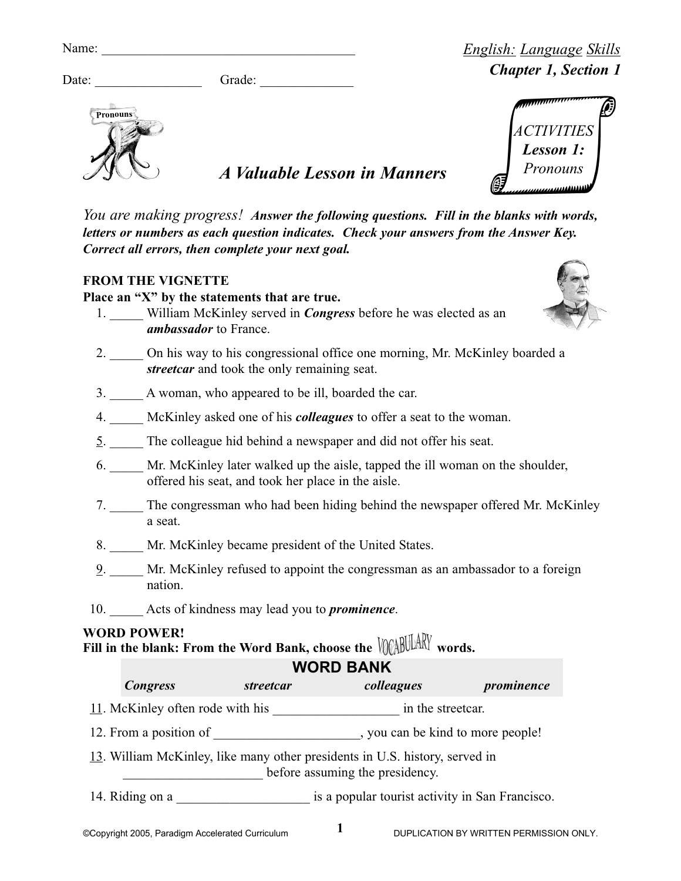| яп |  |
|----|--|

**Pronouns**

Grade:  $\Box$ 



*Chapter 1, Section 1*

*English: Language Skills*

*A Valuable Lesson in Manners*

*You are making progress! Answer the following questions. Fill in the blanks with words, letters or numbers as each question indicates. Check your answers from the Answer Key. Correct all errors, then complete your next goal.*

## **FROM THE VIGNETTE**

**Place an "X" by the statements that are true.**

- 1. William McKinley served in *Congress* before he was elected as an *ambassador* to France.
- 2. On his way to his congressional office one morning, Mr. McKinley boarded a *streetcar* and took the only remaining seat.
- 3. \_\_\_\_\_ A woman, who appeared to be ill, boarded the car.
- 4. \_\_\_\_\_ McKinley asked one of his *colleagues* to offer a seat to the woman.
- 5. \_\_\_\_\_ The colleague hid behind a newspaper and did not offer his seat.
- 6. \_\_\_\_\_ Mr. McKinley later walked up the aisle, tapped the ill woman on the shoulder, offered his seat, and took her place in the aisle.
- 7. \_\_\_\_\_ The congressman who had been hiding behind the newspaper offered Mr. McKinley a seat.
- 8. Mr. McKinley became president of the United States.
- 9. \_\_\_\_\_ Mr. McKinley refused to appoint the congressman as an ambassador to a foreign nation.
- 10. \_\_\_\_\_ Acts of kindness may lead you to *prominence*.

## **WORD POWER!**

**FILL IN THE FUWER:** From the Word Bank, choose the VOABULARY words.

## 11. McKinley often rode with his \_\_\_\_\_\_\_\_\_\_\_\_\_\_\_\_\_\_\_ in the streetcar. 12. From a position of \_\_\_\_\_\_\_\_\_\_\_\_\_\_\_\_\_\_\_\_\_\_, you can be kind to more people! **WORD BANK** *Congress streetcar colleagues prominence*

- 13. William McKinley, like many other presidents in U.S. history, served in
	- **EXECUTE:** before assuming the presidency.
- 14. Riding on a <br>is a popular tourist activity in San Francisco.

**1**